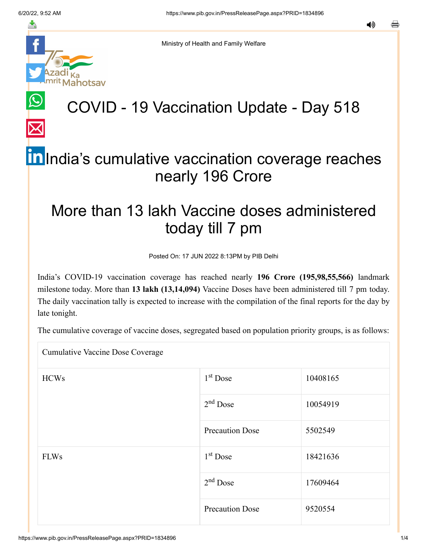≛

Ministry of Health and Family Welfare

# hotsav

## COVID - 19 Vaccination Update - Day 518

## [In](https://www.linkedin.com/shareArticle?mini=true&url=https://pib.gov.in/PressReleasePage.aspx?PRID=1834896&title=COVID%20-%2019%20Vaccination%20Update%20-%20Day%20518&summary=My%20favorite%20developer%20program&source=LinkedIn) India's cumulative vaccination coverage reaches nearly 196 Crore

## More than 13 lakh Vaccine doses administered today till 7 pm

Posted On: 17 JUN 2022 8:13PM by PIB Delhi

India's COVID-19 vaccination coverage has reached nearly **196 Crore (195,98,55,566)** landmark milestone today. More than **13 lakh (13,14,094)** Vaccine Doses have been administered till 7 pm today. The daily vaccination tally is expected to increase with the compilation of the final reports for the day by late tonight.

The cumulative coverage of vaccine doses, segregated based on population priority groups, is as follows:

Cumulative Vaccine Dose Coverage

| <b>HCWs</b> | $1st$ Dose             | 10408165 |
|-------------|------------------------|----------|
|             | $2nd$ Dose             | 10054919 |
|             | <b>Precaution Dose</b> | 5502549  |
| <b>FLWs</b> | $1st$ Dose             | 18421636 |
|             | $2nd$ Dose             | 17609464 |
|             | <b>Precaution Dose</b> | 9520554  |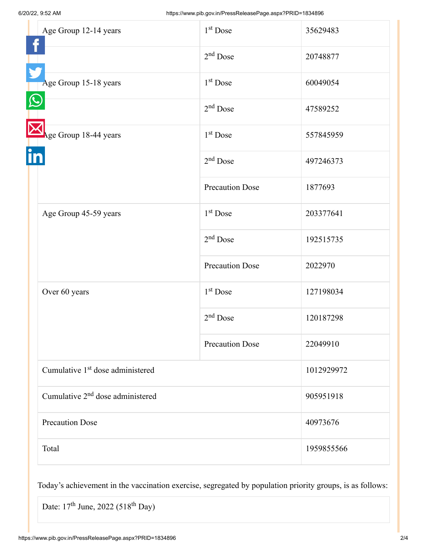|  | Age Group 12-14 years                        | 1 <sup>st</sup> Dose   | 35629483   |
|--|----------------------------------------------|------------------------|------------|
|  |                                              | $2nd$ Dose             | 20748877   |
|  | Age Group 15-18 years                        | $1st$ Dose             | 60049054   |
|  |                                              | $2nd$ Dose             | 47589252   |
|  | Age Group 18-44 years                        | $1st$ Dose             | 557845959  |
|  |                                              | $2nd$ Dose             | 497246373  |
|  |                                              | <b>Precaution Dose</b> | 1877693    |
|  | Age Group 45-59 years                        | $1st$ Dose             | 203377641  |
|  |                                              | $2nd$ Dose             | 192515735  |
|  |                                              | <b>Precaution Dose</b> | 2022970    |
|  | Over 60 years                                | $1st$ Dose             | 127198034  |
|  |                                              | $2nd$ Dose             | 120187298  |
|  |                                              | <b>Precaution Dose</b> | 22049910   |
|  | Cumulative 1 <sup>st</sup> dose administered |                        | 1012929972 |
|  | Cumulative 2 <sup>nd</sup> dose administered |                        | 905951918  |
|  | <b>Precaution Dose</b>                       |                        | 40973676   |
|  | Total                                        |                        | 1959855566 |

Today's achievement in the vaccination exercise, segregated by population priority groups, is as follows:

Date:  $17<sup>th</sup>$  June, 2022 (518<sup>th</sup> Day)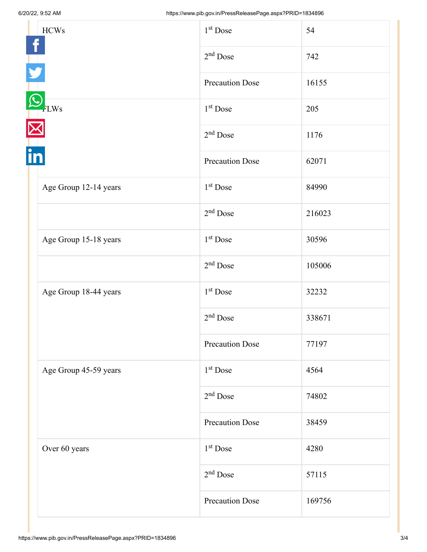| <b>HCWs</b>           | 1 <sup>st</sup> Dose   | 54     |
|-----------------------|------------------------|--------|
|                       | $2nd$ Dose             | 742    |
|                       | <b>Precaution Dose</b> | 16155  |
| <b>LWs</b><br>in      | 1 <sup>st</sup> Dose   | 205    |
|                       | $2nd$ Dose             | 1176   |
|                       | <b>Precaution Dose</b> | 62071  |
| Age Group 12-14 years | $1st$ Dose             | 84990  |
|                       | $2nd$ Dose             | 216023 |
| Age Group 15-18 years | 1 <sup>st</sup> Dose   | 30596  |
|                       | $2nd$ Dose             | 105006 |
| Age Group 18-44 years | 1 <sup>st</sup> Dose   | 32232  |
|                       | $2nd$ Dose             | 338671 |
|                       | <b>Precaution Dose</b> | 77197  |
| Age Group 45-59 years | 1 <sup>st</sup> Dose   | 4564   |
|                       | $2nd$ Dose             | 74802  |
|                       | <b>Precaution Dose</b> | 38459  |
| Over 60 years         | 1 <sup>st</sup> Dose   | 4280   |
|                       | $2nd$ Dose             | 57115  |
|                       | <b>Precaution Dose</b> | 169756 |